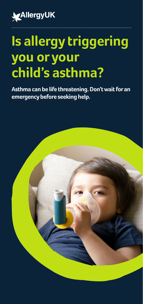

# **Is allergy triggering you or your child's asthma?**

**Asthma can be life threatening. Don't wait for an emergency before seeking help.**

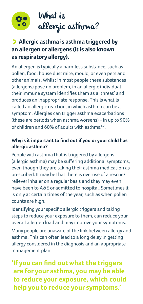



### > **Allergic asthma is asthma triggered by an allergen or allergens (it is also known as respiratory allergy).**

An allergen is typically a harmless substance, such as pollen, food, house dust mite, mould, or even pets and other animals. Whilst in most people these substances (allergens) pose no problem, in an allergic individual their immune system identifies them as a 'threat' and produces an inappropriate response. This is what is called an allergic reaction, in which asthma can be a symptom. Allergies can trigger asthma exacerbations (these are periods when asthma worsens) - in up to 90% of children and 60% of adults with asthma1,2.

### **Why is it important to find out if you or your child has allergic asthma?**

People with asthma that is triggered by allergens (allergic asthma) may be suffering additional symptoms, even though they are taking their asthma medication as prescribed. It may be that there is overuse of a rescue/ reliever inhaler on a regular basis and they may even have been to A&E or admitted to hospital. Sometimes it is only at certain times of the year, such as when pollen counts are high.

Identifying your specific allergic triggers and taking steps to reduce your exposure to them, can reduce your overall allergen load and may improve your symptoms.

Many people are unaware of the link between allergy and asthma. This can often lead to a long delay in getting allergy considered in the diagnosis and an appropriate management plan.

**'If you can find out what the triggers are for your asthma, you may be able to reduce your exposure, which could help you to reduce your symptoms.'**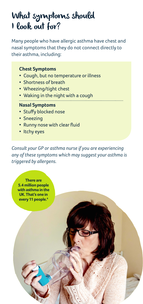# What symptoms should I look out for?

Many people who have allergic asthma have chest and nasal symptoms that they do not connect directly to their asthma, including:

#### **Chest Symptoms**

- Cough, but no temperature or illness
- Shortness of breath
- Wheezing/tight chest
- Waking in the night with a cough

#### **Nasal Symptoms**

- Stuffy blocked nose
- Sneezing
- Runny nose with clear fluid
- Itchy eyes

**There are 5.4 million people with asthma in the UK. That's one in every 11 people.4**

*Consult your GP or asthma nurse if you are experiencing any of these symptoms which may suggest your asthma is triggered by allergens.*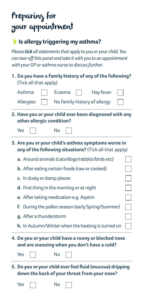# Preparing for your appointment

### >**Is allergy triggering my asthma?**

*Please tick all statements that apply to you or your child. You can tear off this panel and take it with you to an appointment with your GP or asthma nurse to discuss further.* 

| 1. Do you have a family history of any of the following?<br>(Tick all that apply)                             |  |
|---------------------------------------------------------------------------------------------------------------|--|
| Asthma<br><b>Hay fever</b><br>Eczema                                                                          |  |
| <b>Allergies</b><br>No family history of allergy                                                              |  |
| 2. Have you or your child ever been diagnosed with any<br>other allergic condition?                           |  |
| Yes<br>No                                                                                                     |  |
| 3. Are you or your child's asthma symptoms worse in<br>any of the following situations? (Tick all that apply) |  |
| a. Around animals (cats/dogs/rabbits/birds etc)                                                               |  |
| <b>b.</b> After eating certain foods (raw or cooked)                                                          |  |
| c. In dusty or damp places                                                                                    |  |
| d. First thing in the morning or at night                                                                     |  |
| e. After taking medication e.g. Aspirin                                                                       |  |
| f. During the pollen season (early Spring/Summer)                                                             |  |
| g. After a thunderstorm                                                                                       |  |
| h. In Autumn/Winter when the heating is turned on                                                             |  |
| 4. Do you or your child have a runny or blocked nose<br>and are sneezing when you don't have a cold?          |  |
| Yes<br>No                                                                                                     |  |
| 5. Do you or your child ever feel fluid (mucous) dripping<br>down the back of your throat from your nose?     |  |
| Yes<br>No                                                                                                     |  |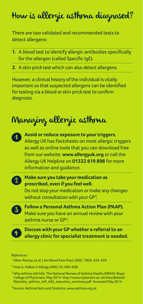# How is allergic asthma diagnosed?

There are two validated and recommended tests to detect allergens:

**1.** A blood test to identify allergic antibodies specifically for the allergen (called Specific IgE).

**2.** A skin prick test which can also detect allergens.

However, a clinical history of the individual is vitally important so that suspected allergens can be identified for testing via a blood or skin prick test to confirm diagnosis.

# Managing allergic asthma

| Avoid or reduce exposure to your triggers.<br>Allergy UK has Factsheets on most allergic triggers<br>as well as online tools that you can download free<br>from our website: www.allergyuk.org or call the<br>Allergy UK Helpline on 01322 619 898 for more<br>information and guidance. |
|------------------------------------------------------------------------------------------------------------------------------------------------------------------------------------------------------------------------------------------------------------------------------------------|
| Make sure you take your medication as<br>prescribed, even if you feel well.<br>Do not stop your medication or make any changes<br>without consultation with your GP <sup>3</sup> .                                                                                                       |
| <b>Follow a Personal Asthma Action Plan (PAAP).</b><br>Make sure you have an annual review with your<br>asthma nurse or GP <sup>2</sup> .                                                                                                                                                |
| Discuss with your GP whether a referral to an<br>allergy clinic for specialist treatment is needed.                                                                                                                                                                                      |

*References:*

- <sup>1</sup> Allen-Ramey, et al. J Am Board Fam Pract 2005; 18(5); 434-439.
- <sup>2</sup> Host A, Halken S Allergy 2000; 55; 600-608.
- 3 Why asthma still kills. The National Review of Asthma Deaths (NRAD). Royal College of Physicians. May 2014. http://www.rcplondon.ac.uk/sites/default/ files/why\_asthma\_still\_kills\_executive\_summary.pdf. Accessed May 2014.

4 Source: Asthma Facts and Statistics, www.asthma.org.uk